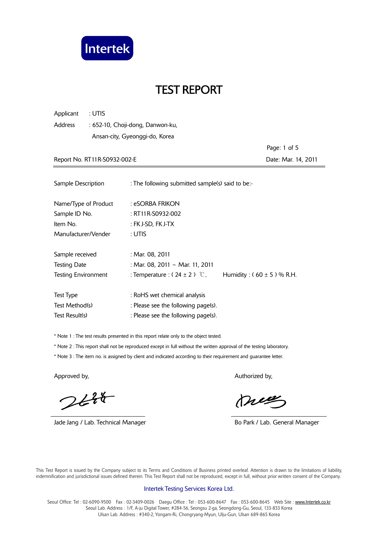

| Applicant | : UTIS                           |
|-----------|----------------------------------|
| Address   | : 652-10, Choji-dong, Danwon-ku, |
|           | Ansan-city, Gyeonggi-do, Korea   |
|           |                                  |

 Page: 1 of 5 Report No. RT11R-S0932-002-E Date: Mar. 14, 2011

| Sample Description         | : The following submitted sample(s) said to be:- |                               |
|----------------------------|--------------------------------------------------|-------------------------------|
| Name/Type of Product       | : eSORBA FRIKON                                  |                               |
| Sample ID No.              | : RT11R-S0932-002                                |                               |
| Item No.                   | : FK J-SD, FK J-TX                               |                               |
| Manufacturer/Vender        | : UTIS                                           |                               |
| Sample received            | : Mar. 08, 2011                                  |                               |
| <b>Testing Date</b>        | : Mar. 08, 2011 ~ Mar. 11, 2011                  |                               |
| <b>Testing Environment</b> | : Temperature : $(24 \pm 2)$ °C,                 | Humidity: $(60 \pm 5)$ % R.H. |
| <b>Test Type</b>           | : RoHS wet chemical analysis                     |                               |
| Test Method(s)             | : Please see the following page(s).              |                               |
| Test Result(s)             | : Please see the following page(s).              |                               |

\* Note 1 : The test results presented in this report relate only to the object tested.

\* Note 2 : This report shall not be reproduced except in full without the written approval of the testing laboratory.

\* Note 3 : The item no. is assigned by client and indicated according to their requirement and guarantee letter.

 $244$ 

Jade Jang / Lab. Technical Manager **Bo Park / Lab. General Manager** Bo Park / Lab. General Manager

Approved by, Authorized by, Authorized by, Authorized by,

meg

 This Test Report is issued by the Company subject to its Terms and Conditions of Business printed overleaf. Attention is drawn to the limitations of liability, indemnification and jurisdictional issues defined therein. This Test Report shall not be reproduced, except in full, without prior written consent of the Company.

#### Intertek Testing Services Korea Ltd.

Seoul Office: Tel: 02-6090-9500 Fax: 02-3409-0026 Daegu Office: Tel: 053-600-8647 Fax: 053-600-8645 Web Site: www.Intertek.co.kr Seoul Lab. Address : 1/F, A-ju Digital Tower, #284-56, Seongsu 2-ga, Seongdong-Gu, Seoul, 133-833 Korea Ulsan Lab. Address : #340-2, Yongam-Ri, Chongryang-Myun, Ulju-Gun, Ulsan 689-865 Korea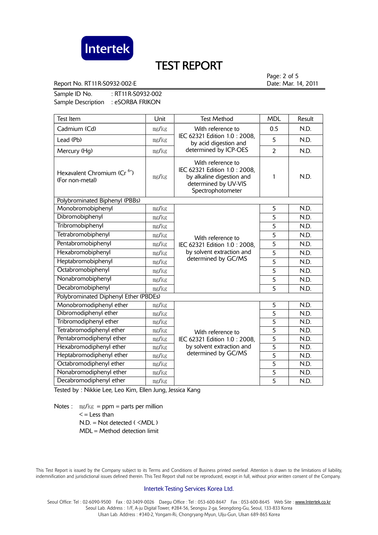

Report No. RT11R-S0932-002-E **Date: Mar. 14, 2011** 

Page: 2 of 5

Sample ID No. : RT11R-S0932-002 Sample Description : eSORBA FRIKON

| <b>Test Item</b>                                           | Unit  | <b>Test Method</b>                                                                                                          | <b>MDL</b>     | Result |
|------------------------------------------------------------|-------|-----------------------------------------------------------------------------------------------------------------------------|----------------|--------|
| Cadmium (Cd)                                               | mg/kg | With reference to<br>IEC 62321 Edition 1.0: 2008,<br>by acid digestion and<br>determined by ICP-OES                         | 0.5            | N.D.   |
| Lead (Pb)                                                  | mg/kg |                                                                                                                             | 5              | N.D.   |
| Mercury (Hg)                                               | mg/kg |                                                                                                                             | $\overline{2}$ | N.D.   |
| Hexavalent Chromium (Cr <sup>6+</sup> )<br>(For non-metal) | mg/kg | With reference to<br>IEC 62321 Edition 1.0: 2008,<br>by alkaline digestion and<br>determined by UV-VIS<br>Spectrophotometer | 1              | N.D.   |
| Polybrominated Biphenyl (PBBs)                             |       |                                                                                                                             |                |        |
| Monobromobiphenyl<br>mg/kg                                 |       |                                                                                                                             | 5              | N.D.   |
| Dibromobiphenyl                                            | mg/kg |                                                                                                                             | 5              | N.D.   |
| Tribromobiphenyl                                           | mg/kg | With reference to<br>IEC 62321 Edition 1.0: 2008,<br>by solvent extraction and<br>determined by GC/MS                       | 5              | N.D.   |
| Tetrabromobiphenyl                                         | mg/kg |                                                                                                                             | 5              | N.D.   |
| Pentabromobiphenyl                                         | mg/kg |                                                                                                                             | 5              | N.D.   |
| Hexabromobiphenyl                                          | mg/kg |                                                                                                                             | $\overline{5}$ | N.D.   |
| Heptabromobiphenyl                                         | mg/kg |                                                                                                                             | 5              | N.D.   |
| Octabromobiphenyl                                          | mg/kg |                                                                                                                             | 5              | N.D.   |
| Nonabromobiphenyl                                          | mg/kg |                                                                                                                             | 5              | N.D.   |
| Decabromobiphenyl                                          | mg/kg |                                                                                                                             | $\overline{5}$ | N.D.   |
| Polybrominated Diphenyl Ether (PBDEs)                      |       |                                                                                                                             |                |        |
| Monobromodiphenyl ether                                    | mg/kg |                                                                                                                             | 5              | N.D.   |
| Dibromodiphenyl ether                                      | mg/kg |                                                                                                                             | $\overline{5}$ | N.D.   |
| Tribromodiphenyl ether                                     | mg/kg | With reference to<br>IEC 62321 Edition 1.0: 2008,<br>by solvent extraction and<br>determined by GC/MS                       | 5              | N.D.   |
| Tetrabromodiphenyl ether                                   | mg/kg |                                                                                                                             | 5              | N.D.   |
| Pentabromodiphenyl ether                                   | mg/kg |                                                                                                                             | $\overline{5}$ | N.D.   |
| Hexabromodiphenyl ether                                    | mg/kg |                                                                                                                             | $\overline{5}$ | N.D.   |
| Heptabromodiphenyl ether                                   | mg/kg |                                                                                                                             | $\overline{5}$ | N.D.   |
| Octabromodiphenyl ether                                    | mg/kg |                                                                                                                             | $\overline{5}$ | N.D.   |
| Nonabromodiphenyl ether                                    | mg/kg |                                                                                                                             | $\overline{5}$ | N.D.   |
| Decabromodiphenyl ether                                    | mg/kg |                                                                                                                             | $\overline{5}$ | N.D.   |

Tested by : Nikkie Lee, Leo Kim, Ellen Jung, Jessica Kang

Notes :  $\text{mg/kg} = \text{ppm} = \text{parts per million}$  $\leq$  = Less than  $N.D. = Not detected ( **MDL**)$ MDL = Method detection limit

 This Test Report is issued by the Company subject to its Terms and Conditions of Business printed overleaf. Attention is drawn to the limitations of liability, indemnification and jurisdictional issues defined therein. This Test Report shall not be reproduced, except in full, without prior written consent of the Company.

#### Intertek Testing Services Korea Ltd.

Seoul Office: Tel: 02-6090-9500 Fax: 02-3409-0026 Daegu Office: Tel: 053-600-8647 Fax: 053-600-8645 Web Site: www.Intertek.co.kr Seoul Lab. Address : 1/F, A-ju Digital Tower, #284-56, Seongsu 2-ga, Seongdong-Gu, Seoul, 133-833 Korea Ulsan Lab. Address : #340-2, Yongam-Ri, Chongryang-Myun, Ulju-Gun, Ulsan 689-865 Korea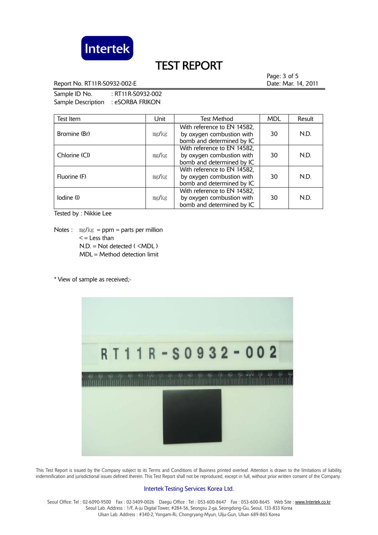

Report No. RT11R-S0932-002-E Date: Mar. 14, 2011

Page: 3 of 5

Sample ID No. : RT11R-S0932-002 Sample Description : eSORBA FRIKON

| Test Item     | Unit  | <b>Test Method</b>                                                                    | <b>MDL</b> | Result |
|---------------|-------|---------------------------------------------------------------------------------------|------------|--------|
| Bromine (Br)  | mg/kg | With reference to EN 14582,<br>by oxygen combustion with<br>bomb and determined by IC | 30         | N.D.   |
| Chlorine (CI) | mg/kg | With reference to EN 14582,<br>by oxygen combustion with<br>bomb and determined by IC | 30         | N.D.   |
| Fluorine (F)  | mg/kg | With reference to EN 14582,<br>by oxygen combustion with<br>bomb and determined by IC | 30         | N.D.   |
| lodine (l)    | mg/kg | With reference to EN 14582,<br>by oxygen combustion with<br>bomb and determined by IC | 30         | N.D.   |

Tested by : Nikkie Lee

Notes :  $mg/kg = ppm = parts per million$  $\leq$  = Less than N.D. = Not detected ( <MDL ) MDL = Method detection limit

\* View of sample as received;-



 This Test Report is issued by the Company subject to its Terms and Conditions of Business printed overleaf. Attention is drawn to the limitations of liability, indemnification and jurisdictional issues defined therein. This Test Report shall not be reproduced, except in full, without prior written consent of the Company.

#### Intertek Testing Services Korea Ltd.

Seoul Office: Tel: 02-6090-9500 Fax: 02-3409-0026 Daegu Office: Tel: 053-600-8647 Fax: 053-600-8645 Web Site: www.Intertek.co.kr Seoul Lab. Address : 1/F, A-ju Digital Tower, #284-56, Seongsu 2-ga, Seongdong-Gu, Seoul, 133-833 Korea Ulsan Lab. Address : #340-2, Yongam-Ri, Chongryang-Myun, Ulju-Gun, Ulsan 689-865 Korea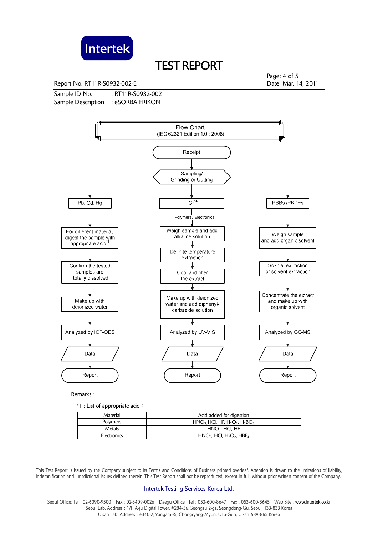

Report No. RT11R-S0932-002-E **Date: Mar. 14, 2011** 

Sample ID No. : RT11R-S0932-002 Sample Description : eSORBA FRIKON

Page: 4 of 5



Remarks :

\*1 : List of appropriate acid:

| Material    | Acid added for digestion                                       |
|-------------|----------------------------------------------------------------|
| Polymers    | $HNO3 HCl, HF, H2O2, H3BO3$                                    |
| Metals      | $HNO3$ , HCI, HF                                               |
| Electronics | $HNO3$ , HCI, H <sub>2</sub> O <sub>2</sub> , HBF <sub>4</sub> |

 This Test Report is issued by the Company subject to its Terms and Conditions of Business printed overleaf. Attention is drawn to the limitations of liability, indemnification and jurisdictional issues defined therein. This Test Report shall not be reproduced, except in full, without prior written consent of the Company.

#### Intertek Testing Services Korea Ltd.

Seoul Office: Tel : 02-6090-9500 Fax : 02-3409-0026 Daegu Office : Tel : 053-600-8647 Fax : 053-600-8645 Web Site : www.Intertek.co.kr Seoul Lab. Address : 1/F, A-ju Digital Tower, #284-56, Seongsu 2-ga, Seongdong-Gu, Seoul, 133-833 Korea Ulsan Lab. Address : #340-2, Yongam-Ri, Chongryang-Myun, Ulju-Gun, Ulsan 689-865 Korea